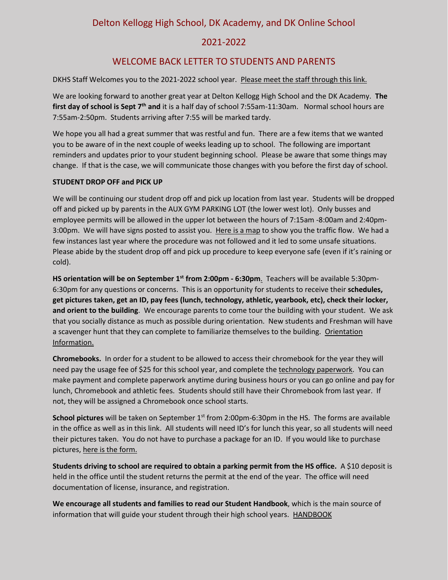Delton Kellogg High School, DK Academy, and DK Online School

## 2021-2022

# WELCOME BACK LETTER TO STUDENTS AND PARENTS

DKHS Staff Welcomes you to the 2021-2022 school year. [Please meet the staff through this link.](https://www.dkschools.org/cms/lib/MI50000543/Centricity/Domain/29/DKHS%20Staff%2021-22%20%20final.pdf)

We are looking forward to another great year at Delton Kellogg High School and the DK Academy. **The**  first day of school is Sept 7<sup>th</sup> and it is a half day of school 7:55am-11:30am. Normal school hours are 7:55am-2:50pm. Students arriving after 7:55 will be marked tardy.

We hope you all had a great summer that was restful and fun. There are a few items that we wanted you to be aware of in the next couple of weeks leading up to school. The following are important reminders and updates prior to your student beginning school. Please be aware that some things may change. If that is the case, we will communicate those changes with you before the first day of school.

### **STUDENT DROP OFF and PICK UP**

We will be continuing our student drop off and pick up location from last year. Students will be dropped off and picked up by parents in the AUX GYM PARKING LOT (the lower west lot). Only busses and employee permits will be allowed in the upper lot between the hours of 7:15am -8:00am and 2:40pm-3:00pm. We will have signs posted to assist you. [Here is a map](https://www.dkschools.org/cms/lib/MI50000543/Centricity/Domain/29/DKHS%20student%20drop%20off%20map.pdf) to show you the traffic flow. We had a few instances last year where the procedure was not followed and it led to some unsafe situations. Please abide by the student drop off and pick up procedure to keep everyone safe (even if it's raining or cold).

**HS orientation will be on September 1st from 2:00pm - 6:30pm**. Teachers will be available 5:30pm-6:30pm for any questions or concerns. This is an opportunity for students to receive their **schedules, get pictures taken, get an ID, pay fees (lunch, technology, athletic, yearbook, etc), check their locker, and orient to the building**. We encourage parents to come tour the building with your student. We ask that you socially distance as much as possible during orientation. New students and Freshman will have a scavenger hunt that they can complete to familiarize themselves to the building. [Orientation](https://docs.google.com/document/d/1e5WLjFvC-t33HE2C1j1jNq_gmlJC_80v/edit?usp=sharing&ouid=103078645671495812242&rtpof=true&sd=true)  [Information.](https://docs.google.com/document/d/1e5WLjFvC-t33HE2C1j1jNq_gmlJC_80v/edit?usp=sharing&ouid=103078645671495812242&rtpof=true&sd=true) 

**Chromebooks.** In order for a student to be allowed to access their chromebook for the year they will need pay the usage fee of \$25 for this school year, and complete the [technology paperwork.](https://www.dkschools.org/cms/lib/MI50000543/Centricity/Domain/36/Student-AUP-and-Option-Pages.pdf) You can make payment and complete paperwork anytime during business hours or you can go online and pay for lunch, Chromebook and athletic fees. Students should still have their Chromebook from last year. If not, they will be assigned a Chromebook once school starts.

**School pictures** will be taken on September 1<sup>st</sup> from 2:00pm-6:30pm in the HS. The forms are available in the office as well as in this link. All students will need ID's for lunch this year, so all students will need their pictures taken. You do not have to purchase a package for an ID. If you would like to purchase pictures, [here is the form.](https://www.dkschools.org/cms/lib/MI50000543/Centricity/Domain/29/life%20touch%209-1-21.pdf) 

**Students driving to school are required to obtain a parking permit from the HS office.** A \$10 deposit is held in the office until the student returns the permit at the end of the year. The office will need documentation of license, insurance, and registration.

**We encourage all students and families to read our Student Handbook**, which is the main source of information that will guide your student through their high school years. [HANDBOOK](https://www.dkschools.org/cms/lib/MI50000543/Centricity/Domain/29/High%20School%20Handbook%2021-22%20final.pdf)